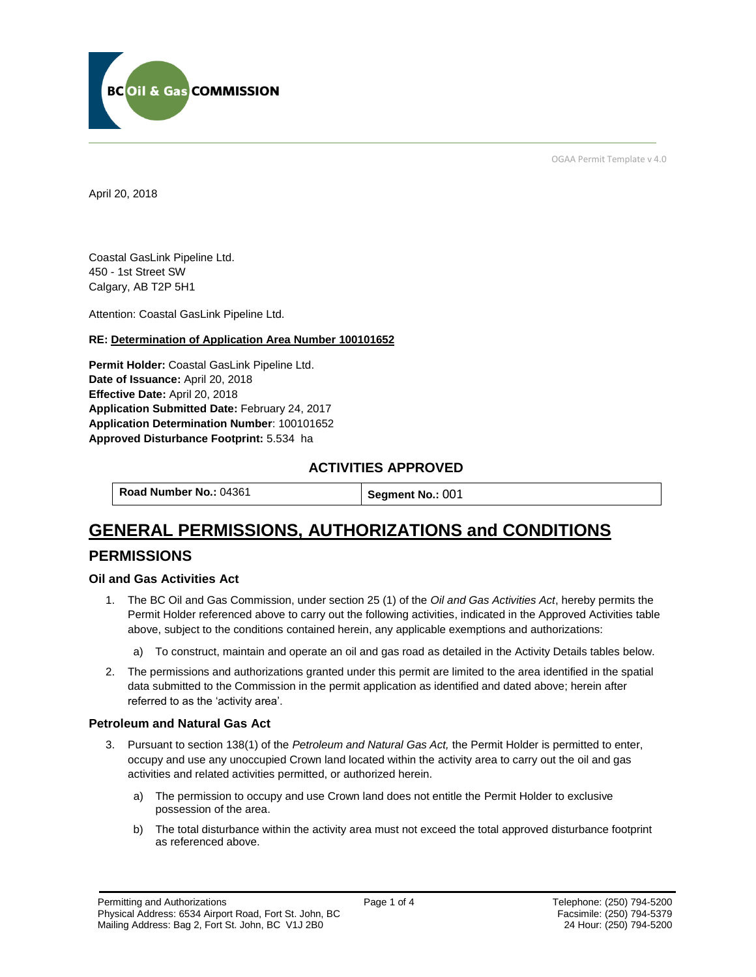

OGAA Permit Template v 4.0

April 20, 2018

Coastal GasLink Pipeline Ltd. 450 - 1st Street SW Calgary, AB T2P 5H1

[Attention:](#page-0-0) Coastal GasLink Pipeline Ltd.

#### **RE: Determination of Application Area Number 100101652**

**[Permit Holder:](#page-0-0)** Coastal GasLink Pipeline Ltd. **[Date of Issuance:](#page-0-0)** April 20, 2018 **[Effective Date:](#page-0-1)** April 20, 2018 **[Application Submitted Date:](#page-0-0)** February 24, 2017 **[Application Determination Number](#page-0-0)**: 100101652 **Approved Disturbance Footprint:** 5.534 ha

## **ACTIVITIES APPROVED**

**[Road Number No.:](#page-0-0) 04361 <b>[Segment No.:](https://bi.bcogc.ca/Application%20Processing/Interactive%20Reports/(BIL-041)%20AMS%20Decision%20Summary.aspx) 001** 

# **GENERAL PERMISSIONS, AUTHORIZATIONS and CONDITIONS**

## **PERMISSIONS**

#### **Oil and Gas Activities Act**

- <span id="page-0-0"></span>1. The BC Oil and Gas Commission, under section 25 (1) of the *Oil and Gas Activities Act*, hereby permits the Permit Holder referenced above to carry out the following activities, indicated in the Approved Activities table above, subject to the conditions contained herein, any applicable exemptions and authorizations:
	- a) To construct, maintain and operate an oil and gas road as detailed in the Activity Details tables below.
- <span id="page-0-1"></span>2. The permissions and authorizations granted under this permit are limited to the area identified in the spatial data submitted to the Commission in the permit application as identified and dated above; herein after referred to as the 'activity area'.

#### **Petroleum and Natural Gas Act**

- 3. Pursuant to section 138(1) of the *Petroleum and Natural Gas Act,* the Permit Holder is permitted to enter, occupy and use any unoccupied Crown land located within the activity area to carry out the oil and gas activities and related activities permitted, or authorized herein.
	- a) The permission to occupy and use Crown land does not entitle the Permit Holder to exclusive possession of the area.
	- b) The total disturbance within the activity area must not exceed the total approved disturbance footprint as referenced above.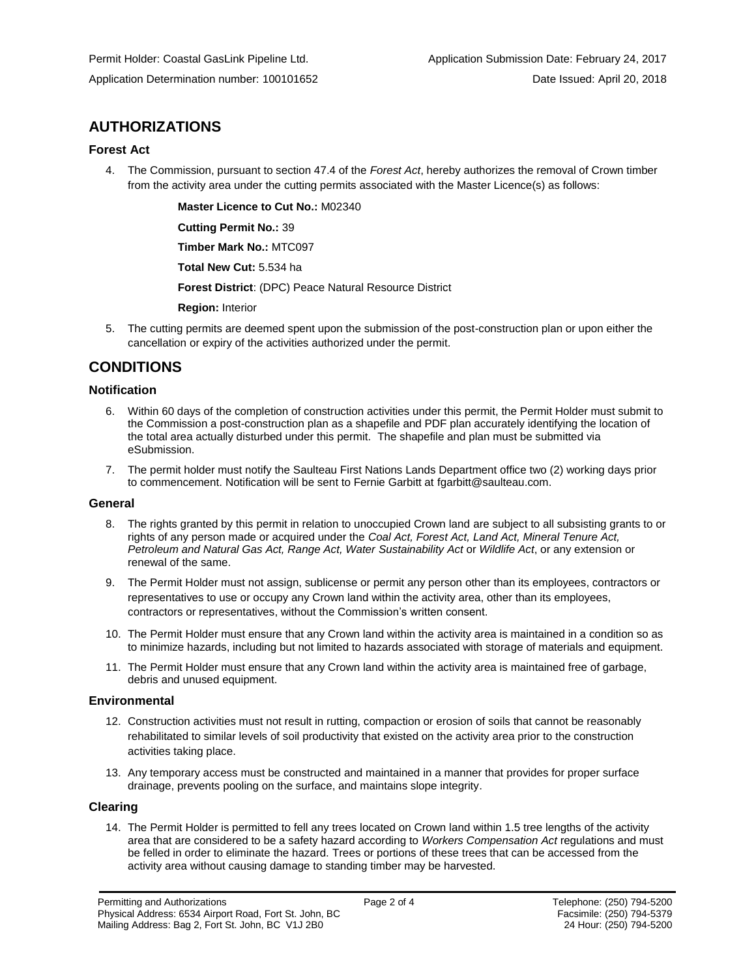## **AUTHORIZATIONS**

#### **Forest Act**

4. The Commission, pursuant to section 47.4 of the *Forest Act*, hereby authorizes the removal of Crown timber from the activity area under the cutting permits associated with the Master Licence(s) as follows:

**[Master Licence to Cut No.:](#page-0-0)** M02340

**[Cutting Permit No.:](#page-0-0)** 39 **[Timber Mark No.:](#page-0-0)** MTC097

**[Total New Cut:](#page-0-0)** 5.534 ha

**[Forest District](https://ams-crd.bcogc.ca/crd/)**: (DPC) Peace Natural Resource District

**[Region:](#page-0-1)** Interior

5. The cutting permits are deemed spent upon the submission of the post-construction plan or upon either the cancellation or expiry of the activities authorized under the permit.

## **CONDITIONS**

#### **Notification**

- 6. Within 60 days of the completion of construction activities under this permit, the Permit Holder must submit to the Commission a post-construction plan as a shapefile and PDF plan accurately identifying the location of the total area actually disturbed under this permit. The shapefile and plan must be submitted via eSubmission.
- 7. The permit holder must notify the Saulteau First Nations Lands Department office two (2) working days prior to commencement. Notification will be sent to Fernie Garbitt at [fgarbitt@saulteau.com.](mailto:fgarbitt@saulteau.com)

#### **General**

- 8. The rights granted by this permit in relation to unoccupied Crown land are subject to all subsisting grants to or rights of any person made or acquired under the *Coal Act, Forest Act, Land Act, Mineral Tenure Act, Petroleum and Natural Gas Act, Range Act, Water Sustainability Act* or *Wildlife Act*, or any extension or renewal of the same.
- 9. The Permit Holder must not assign, sublicense or permit any person other than its employees, contractors or representatives to use or occupy any Crown land within the activity area, other than its employees, contractors or representatives, without the Commission's written consent.
- 10. The Permit Holder must ensure that any Crown land within the activity area is maintained in a condition so as to minimize hazards, including but not limited to hazards associated with storage of materials and equipment.
- 11. The Permit Holder must ensure that any Crown land within the activity area is maintained free of garbage, debris and unused equipment.

#### **Environmental**

- 12. Construction activities must not result in rutting, compaction or erosion of soils that cannot be reasonably rehabilitated to similar levels of soil productivity that existed on the activity area prior to the construction activities taking place.
- 13. Any temporary access must be constructed and maintained in a manner that provides for proper surface drainage, prevents pooling on the surface, and maintains slope integrity.

#### **Clearing**

14. The Permit Holder is permitted to fell any trees located on Crown land within 1.5 tree lengths of the activity area that are considered to be a safety hazard according to *Workers Compensation Act* regulations and must be felled in order to eliminate the hazard. Trees or portions of these trees that can be accessed from the activity area without causing damage to standing timber may be harvested.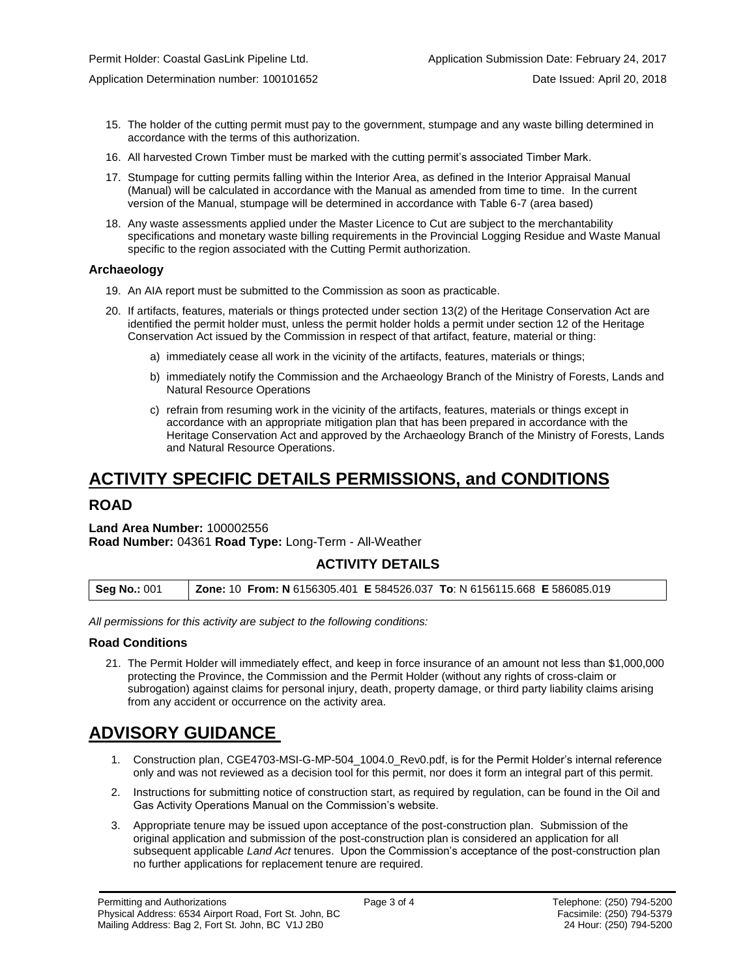- 15. The holder of the cutting permit must pay to the government, stumpage and any waste billing determined in accordance with the terms of this authorization.
- 16. All harvested Crown Timber must be marked with the cutting permit's associated Timber Mark.
- 17. Stumpage for cutting permits falling within the Interior Area, as defined in the Interior Appraisal Manual (Manual) will be calculated in accordance with the Manual as amended from time to time. In the current version of the Manual, stumpage will be determined in accordance with Table 6-7 (area based)
- 18. Any waste assessments applied under the Master Licence to Cut are subject to the merchantability specifications and monetary waste billing requirements in the Provincial Logging Residue and Waste Manual specific to the region associated with the Cutting Permit authorization.

#### **Archaeology**

- 19. An AIA report must be submitted to the Commission as soon as practicable.
- 20. If artifacts, features, materials or things protected under section 13(2) of the Heritage Conservation Act are identified the permit holder must, unless the permit holder holds a permit under section 12 of the Heritage Conservation Act issued by the Commission in respect of that artifact, feature, material or thing:
	- a) immediately cease all work in the vicinity of the artifacts, features, materials or things;
	- b) immediately notify the Commission and the Archaeology Branch of the Ministry of Forests, Lands and Natural Resource Operations
	- c) refrain from resuming work in the vicinity of the artifacts, features, materials or things except in accordance with an appropriate mitigation plan that has been prepared in accordance with the Heritage Conservation Act and approved by the Archaeology Branch of the Ministry of Forests, Lands and Natural Resource Operations.

## **ACTIVITY SPECIFIC DETAILS PERMISSIONS, and CONDITIONS**

## **ROAD**

## **Land Area Number:** 100002556 **Road Number:** 04361 **Road Type:** Long-Term - All-Weather

#### **ACTIVITY DETAILS**

**Seg No.:** 001 **Zone:** 10 **From: N** 6156305.401 **E** 584526.037 **To**: N 6156115.668 **E** 586085.019

*All permissions for this activity are subject to the following conditions:*

#### **Road Conditions**

21. The Permit Holder will immediately effect, and keep in force insurance of an amount not less than \$1,000,000 protecting the Province, the Commission and the Permit Holder (without any rights of cross-claim or subrogation) against claims for personal injury, death, property damage, or third party liability claims arising from any accident or occurrence on the activity area.

# **ADVISORY GUIDANCE**

- 1. Construction plan, CGE4703-MSI-G-MP-504\_1004.0\_Rev0.pdf, is for the Permit Holder's internal reference only and was not reviewed as a decision tool for this permit, nor does it form an integral part of this permit.
- 2. Instructions for submitting notice of construction start, as required by regulation, can be found in the Oil and Gas Activity Operations Manual on the Commission's website.
- 3. Appropriate tenure may be issued upon acceptance of the post-construction plan. Submission of the original application and submission of the post-construction plan is considered an application for all subsequent applicable *Land Act* tenures. Upon the Commission's acceptance of the post-construction plan no further applications for replacement tenure are required.